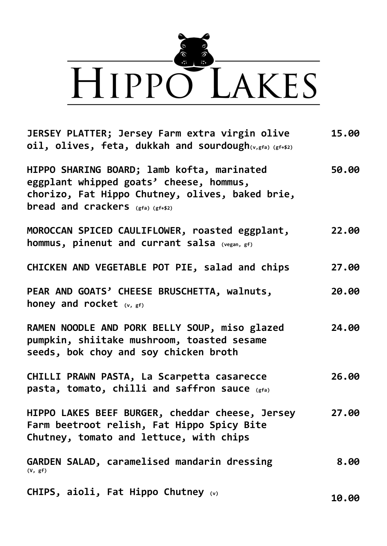

**JERSEY PLATTER; Jersey Farm extra virgin olive oil, olives, feta, dukkah and sourdough(v,gfa) (gf+\$2) HIPPO SHARING BOARD; lamb kofta, marinated eggplant whipped goats' cheese, hommus, chorizo, Fat Hippo Chutney, olives, baked brie, bread and crackers (gfa) (gf+\$2) MOROCCAN SPICED CAULIFLOWER, roasted eggplant, hommus, pinenut and currant salsa (vegan, gf) CHICKEN AND VEGETABLE POT PIE, salad and chips PEAR AND GOATS' CHEESE BRUSCHETTA, walnuts, honey and rocket (v, gf) RAMEN NOODLE AND PORK BELLY SOUP, miso glazed pumpkin, shiitake mushroom, toasted sesame seeds, bok choy and soy chicken broth CHILLI PRAWN PASTA, La Scarpetta casarecce pasta, tomato, chilli and saffron sauce (gfa) HIPPO LAKES BEEF BURGER, cheddar cheese, Jersey Farm beetroot relish, Fat Hippo Spicy Bite Chutney, tomato and lettuce, with chips GARDEN SALAD, caramelised mandarin dressing (V, gf) CHIPS, aioli, Fat Hippo Chutney (v) 15.00 50.00 22.00 27.00 20.00 24.00 26.00 27.00 8.00 10.00**